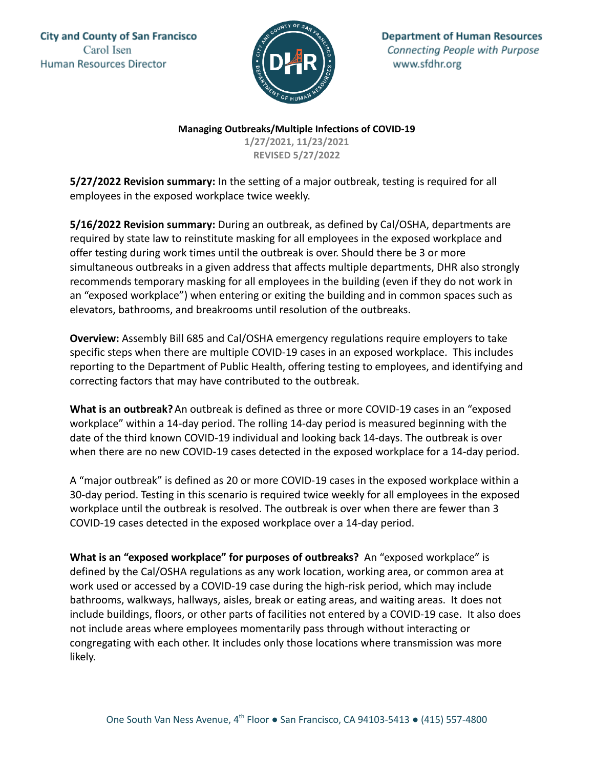**City and County of San Francisco** Carol Isen Human Resources Director



**Department of Human Resources** Connecting People with Purpose www.sfdhr.org

**Managing Outbreaks/Multiple Infections of COVID-19**

**1/27/2021, 11/23/2021 REVISED 5/27/2022**

**5/27/2022 Revision summary:** In the setting of a major outbreak, testing is required for all employees in the exposed workplace twice weekly.

**5/16/2022 Revision summary:** During an outbreak, as defined by Cal/OSHA, departments are required by state law to reinstitute masking for all employees in the exposed workplace and offer testing during work times until the outbreak is over. Should there be 3 or more simultaneous outbreaks in a given address that affects multiple departments, DHR also strongly recommends temporary masking for all employees in the building (even if they do not work in an "exposed workplace") when entering or exiting the building and in common spaces such as elevators, bathrooms, and breakrooms until resolution of the outbreaks.

**Overview:** Assembly Bill 685 and Cal/OSHA emergency regulations require employers to take specific steps when there are multiple COVID-19 cases in an exposed workplace. This includes reporting to the Department of Public Health, offering testing to employees, and identifying and correcting factors that may have contributed to the outbreak.

**What is an outbreak?**An outbreak is defined as three or more COVID-19 cases in an "exposed workplace" within a 14-day period. The rolling 14-day period is measured beginning with the date of the third known COVID-19 individual and looking back 14-days. The outbreak is over when there are no new COVID-19 cases detected in the exposed workplace for a 14-day period.

A "major outbreak" is defined as 20 or more COVID-19 cases in the exposed workplace within a 30-day period. Testing in this scenario is required twice weekly for all employees in the exposed workplace until the outbreak is resolved. The outbreak is over when there are fewer than 3 COVID-19 cases detected in the exposed workplace over a 14-day period.

**What is an "exposed workplace" for purposes of outbreaks?** An "exposed workplace" is defined by the Cal/OSHA regulations as any work location, working area, or common area at work used or accessed by a COVID-19 case during the high-risk period, which may include bathrooms, walkways, hallways, aisles, break or eating areas, and waiting areas. It does not include buildings, floors, or other parts of facilities not entered by a COVID-19 case. It also does not include areas where employees momentarily pass through without interacting or congregating with each other. It includes only those locations where transmission was more likely.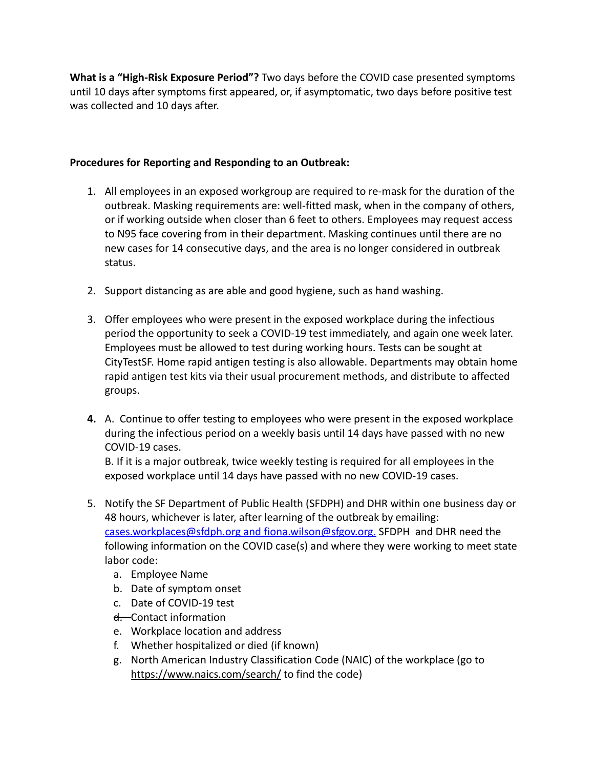**What is a "High-Risk Exposure Period"?** Two days before the COVID case presented symptoms until 10 days after symptoms first appeared, or, if asymptomatic, two days before positive test was collected and 10 days after.

## **Procedures for Reporting and Responding to an Outbreak:**

- 1. All employees in an exposed workgroup are required to re-mask for the duration of the outbreak. Masking requirements are: well-fitted mask, when in the company of others, or if working outside when closer than 6 feet to others. Employees may request access to N95 face covering from in their department. Masking continues until there are no new cases for 14 consecutive days, and the area is no longer considered in outbreak status.
- 2. Support distancing as are able and good hygiene, such as hand washing.
- 3. Offer employees who were present in the exposed workplace during the infectious period the opportunity to seek a COVID-19 test immediately, and again one week later. Employees must be allowed to test during working hours. Tests can be sought at CityTestSF. Home rapid antigen testing is also allowable. Departments may obtain home rapid antigen test kits via their usual procurement methods, and distribute to affected groups.
- **4.** A. Continue to offer testing to employees who were present in the exposed workplace during the infectious period on a weekly basis until 14 days have passed with no new COVID-19 cases.

B. If it is a major outbreak, twice weekly testing is required for all employees in the exposed workplace until 14 days have passed with no new COVID-19 cases.

- 5. Notify the SF Department of Public Health (SFDPH) and DHR within one business day or 48 hours, whichever is later, after learning of the outbreak by emailing: [cases.workplaces@sfdph.org](mailto:cases.workplaces@sfdph.org) and fiona.wilson@sfgov.org. SFDPH and DHR need the following information on the COVID case(s) and where they were working to meet state labor code:
	- a. Employee Name
	- b. Date of symptom onset
	- c. Date of COVID-19 test
	- d. Contact information
	- e. Workplace location and address
	- f. Whether hospitalized or died (if known)
	- g. North American Industry Classification Code (NAIC) of the workplace (go to <https://www.naics.com/search/> to find the code)